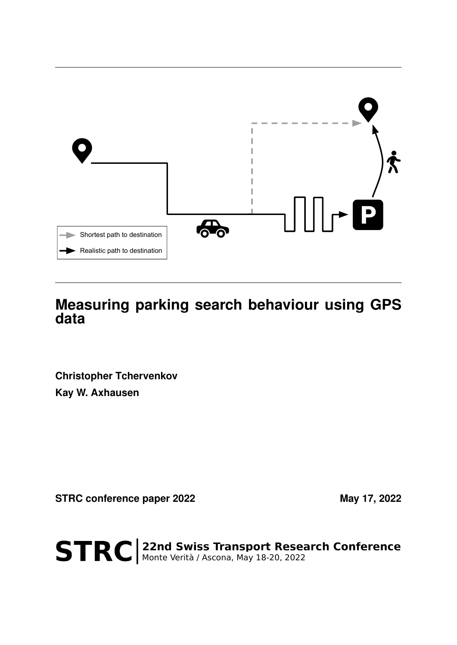

# **Measuring parking search behaviour using GPS data**

**Christopher Tchervenkov Kay W. Axhausen**

**STRC conference paper 2022 May 17, 2022**

STRC | 22nd Swiss Transport Research Conference